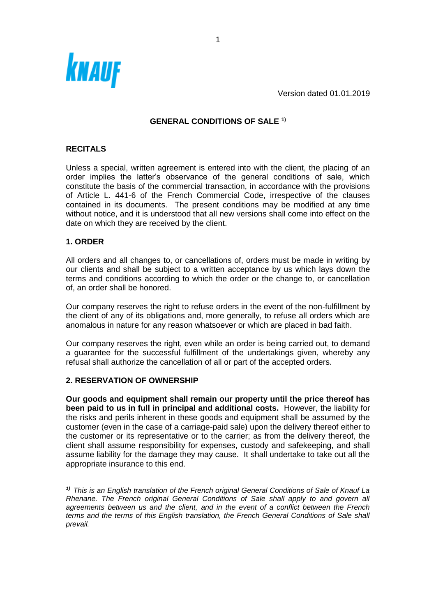

Version dated 01.01.2019

# **GENERAL CONDITIONS OF SALE 1)**

# **RECITALS**

Unless a special, written agreement is entered into with the client, the placing of an order implies the latter's observance of the general conditions of sale, which constitute the basis of the commercial transaction, in accordance with the provisions of Article L. 441-6 of the French Commercial Code, irrespective of the clauses contained in its documents. The present conditions may be modified at any time without notice, and it is understood that all new versions shall come into effect on the date on which they are received by the client.

### **1. ORDER**

All orders and all changes to, or cancellations of, orders must be made in writing by our clients and shall be subject to a written acceptance by us which lays down the terms and conditions according to which the order or the change to, or cancellation of, an order shall be honored.

Our company reserves the right to refuse orders in the event of the non-fulfillment by the client of any of its obligations and, more generally, to refuse all orders which are anomalous in nature for any reason whatsoever or which are placed in bad faith.

Our company reserves the right, even while an order is being carried out, to demand a guarantee for the successful fulfillment of the undertakings given, whereby any refusal shall authorize the cancellation of all or part of the accepted orders.

#### **2. RESERVATION OF OWNERSHIP**

**Our goods and equipment shall remain our property until the price thereof has been paid to us in full in principal and additional costs.** However, the liability for the risks and perils inherent in these goods and equipment shall be assumed by the customer (even in the case of a carriage-paid sale) upon the delivery thereof either to the customer or its representative or to the carrier; as from the delivery thereof, the client shall assume responsibility for expenses, custody and safekeeping, and shall assume liability for the damage they may cause. It shall undertake to take out all the appropriate insurance to this end.

*1) This is an English translation of the French original General Conditions of Sale of Knauf La Rhenane. The French original General Conditions of Sale shall apply to and govern all agreements between us and the client, and in the event of a conflict between the French terms and the terms of this English translation, the French General Conditions of Sale shall prevail.*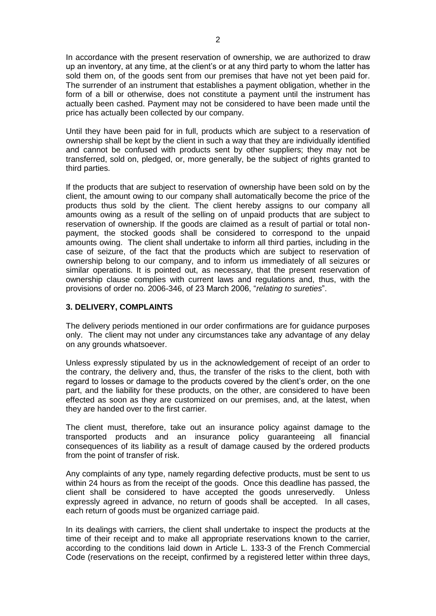In accordance with the present reservation of ownership, we are authorized to draw up an inventory, at any time, at the client's or at any third party to whom the latter has sold them on, of the goods sent from our premises that have not yet been paid for. The surrender of an instrument that establishes a payment obligation, whether in the form of a bill or otherwise, does not constitute a payment until the instrument has actually been cashed. Payment may not be considered to have been made until the price has actually been collected by our company.

Until they have been paid for in full, products which are subject to a reservation of ownership shall be kept by the client in such a way that they are individually identified and cannot be confused with products sent by other suppliers; they may not be transferred, sold on, pledged, or, more generally, be the subject of rights granted to third parties.

If the products that are subject to reservation of ownership have been sold on by the client, the amount owing to our company shall automatically become the price of the products thus sold by the client. The client hereby assigns to our company all amounts owing as a result of the selling on of unpaid products that are subject to reservation of ownership. If the goods are claimed as a result of partial or total nonpayment, the stocked goods shall be considered to correspond to the unpaid amounts owing. The client shall undertake to inform all third parties, including in the case of seizure, of the fact that the products which are subject to reservation of ownership belong to our company, and to inform us immediately of all seizures or similar operations. It is pointed out, as necessary, that the present reservation of ownership clause complies with current laws and regulations and, thus, with the provisions of order no. 2006-346, of 23 March 2006, "*relating to sureties*".

## **3. DELIVERY, COMPLAINTS**

The delivery periods mentioned in our order confirmations are for guidance purposes only. The client may not under any circumstances take any advantage of any delay on any grounds whatsoever.

Unless expressly stipulated by us in the acknowledgement of receipt of an order to the contrary, the delivery and, thus, the transfer of the risks to the client, both with regard to losses or damage to the products covered by the client's order, on the one part, and the liability for these products, on the other, are considered to have been effected as soon as they are customized on our premises, and, at the latest, when they are handed over to the first carrier.

The client must, therefore, take out an insurance policy against damage to the transported products and an insurance policy guaranteeing all financial consequences of its liability as a result of damage caused by the ordered products from the point of transfer of risk.

Any complaints of any type, namely regarding defective products, must be sent to us within 24 hours as from the receipt of the goods. Once this deadline has passed, the client shall be considered to have accepted the goods unreservedly. Unless expressly agreed in advance, no return of goods shall be accepted. In all cases, each return of goods must be organized carriage paid.

In its dealings with carriers, the client shall undertake to inspect the products at the time of their receipt and to make all appropriate reservations known to the carrier, according to the conditions laid down in Article L. 133-3 of the French Commercial Code (reservations on the receipt, confirmed by a registered letter within three days,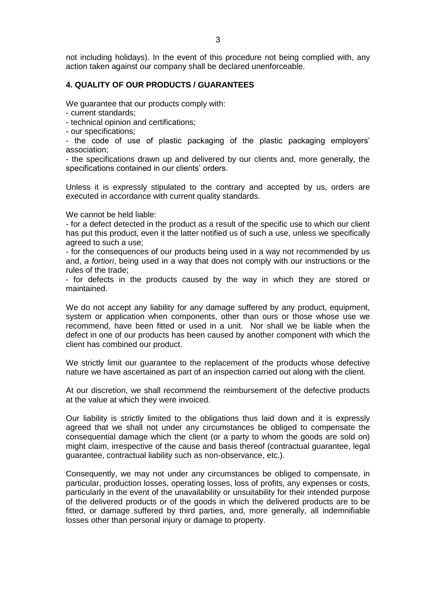not including holidays). In the event of this procedure not being complied with, any action taken against our company shall be declared unenforceable.

### **4. QUALITY OF OUR PRODUCTS / GUARANTEES**

We guarantee that our products comply with:

- current standards;

- technical opinion and certifications;

- our specifications;

- the code of use of plastic packaging of the plastic packaging employers' association;

- the specifications drawn up and delivered by our clients and, more generally, the specifications contained in our clients' orders.

Unless it is expressly stipulated to the contrary and accepted by us, orders are executed in accordance with current quality standards.

We cannot be held liable:

- for a defect detected in the product as a result of the specific use to which our client has put this product, even it the latter notified us of such a use, unless we specifically agreed to such a use;

- for the consequences of our products being used in a way not recommended by us and, *a fortiori*, being used in a way that does not comply with our instructions or the rules of the trade;

- for defects in the products caused by the way in which they are stored or maintained.

We do not accept any liability for any damage suffered by any product, equipment, system or application when components, other than ours or those whose use we recommend, have been fitted or used in a unit. Nor shall we be liable when the defect in one of our products has been caused by another component with which the client has combined our product.

We strictly limit our guarantee to the replacement of the products whose defective nature we have ascertained as part of an inspection carried out along with the client.

At our discretion, we shall recommend the reimbursement of the defective products at the value at which they were invoiced.

Our liability is strictly limited to the obligations thus laid down and it is expressly agreed that we shall not under any circumstances be obliged to compensate the consequential damage which the client (or a party to whom the goods are sold on) might claim, irrespective of the cause and basis thereof (contractual guarantee, legal guarantee, contractual liability such as non-observance, etc.).

Consequently, we may not under any circumstances be obliged to compensate, in particular, production losses, operating losses, loss of profits, any expenses or costs, particularly in the event of the unavailability or unsuitability for their intended purpose of the delivered products or of the goods in which the delivered products are to be fitted, or damage suffered by third parties, and, more generally, all indemnifiable losses other than personal injury or damage to property.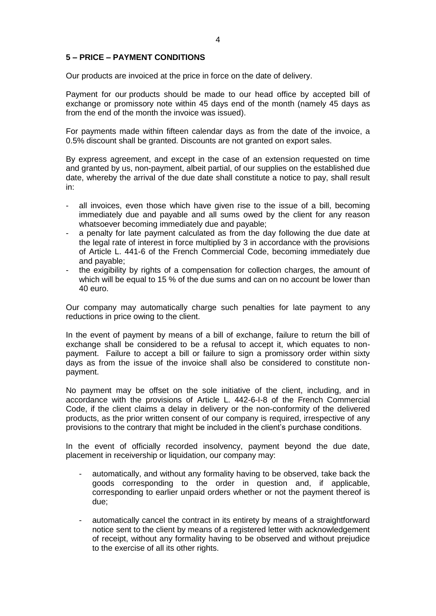#### **5 – PRICE – PAYMENT CONDITIONS**

Our products are invoiced at the price in force on the date of delivery.

Payment for our products should be made to our head office by accepted bill of exchange or promissory note within 45 days end of the month (namely 45 days as from the end of the month the invoice was issued).

For payments made within fifteen calendar days as from the date of the invoice, a 0.5% discount shall be granted. Discounts are not granted on export sales.

By express agreement, and except in the case of an extension requested on time and granted by us, non-payment, albeit partial, of our supplies on the established due date, whereby the arrival of the due date shall constitute a notice to pay, shall result in:

- all invoices, even those which have given rise to the issue of a bill, becoming immediately due and payable and all sums owed by the client for any reason whatsoever becoming immediately due and payable;
- a penalty for late payment calculated as from the day following the due date at the legal rate of interest in force multiplied by 3 in accordance with the provisions of Article L. 441-6 of the French Commercial Code, becoming immediately due and payable;
- the exigibility by rights of a compensation for collection charges, the amount of which will be equal to 15 % of the due sums and can on no account be lower than 40 euro.

Our company may automatically charge such penalties for late payment to any reductions in price owing to the client.

In the event of payment by means of a bill of exchange, failure to return the bill of exchange shall be considered to be a refusal to accept it, which equates to nonpayment. Failure to accept a bill or failure to sign a promissory order within sixty days as from the issue of the invoice shall also be considered to constitute nonpayment.

No payment may be offset on the sole initiative of the client, including, and in accordance with the provisions of Article L. 442-6-I-8 of the French Commercial Code, if the client claims a delay in delivery or the non-conformity of the delivered products, as the prior written consent of our company is required, irrespective of any provisions to the contrary that might be included in the client's purchase conditions.

In the event of officially recorded insolvency, payment beyond the due date, placement in receivership or liquidation, our company may:

- automatically, and without any formality having to be observed, take back the goods corresponding to the order in question and, if applicable, corresponding to earlier unpaid orders whether or not the payment thereof is due;
- automatically cancel the contract in its entirety by means of a straightforward notice sent to the client by means of a registered letter with acknowledgement of receipt, without any formality having to be observed and without prejudice to the exercise of all its other rights.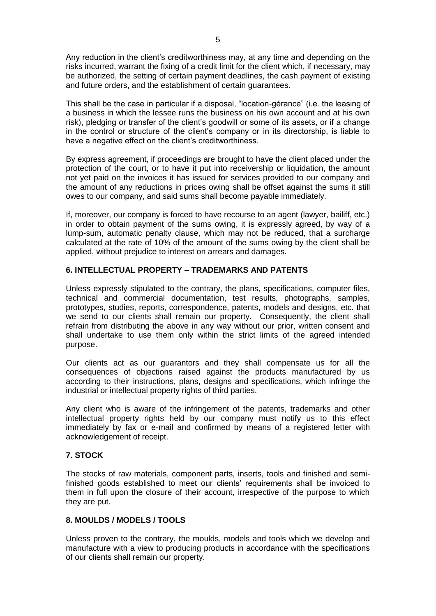Any reduction in the client's creditworthiness may, at any time and depending on the risks incurred, warrant the fixing of a credit limit for the client which, if necessary, may be authorized, the setting of certain payment deadlines, the cash payment of existing and future orders, and the establishment of certain guarantees.

This shall be the case in particular if a disposal, "location-gérance" (i.e. the leasing of a business in which the lessee runs the business on his own account and at his own risk), pledging or transfer of the client's goodwill or some of its assets, or if a change in the control or structure of the client's company or in its directorship, is liable to have a negative effect on the client's creditworthiness.

By express agreement, if proceedings are brought to have the client placed under the protection of the court, or to have it put into receivership or liquidation, the amount not yet paid on the invoices it has issued for services provided to our company and the amount of any reductions in prices owing shall be offset against the sums it still owes to our company, and said sums shall become payable immediately.

If, moreover, our company is forced to have recourse to an agent (lawyer, bailiff, etc.) in order to obtain payment of the sums owing, it is expressly agreed, by way of a lump-sum, automatic penalty clause, which may not be reduced, that a surcharge calculated at the rate of 10% of the amount of the sums owing by the client shall be applied, without prejudice to interest on arrears and damages.

# **6. INTELLECTUAL PROPERTY – TRADEMARKS AND PATENTS**

Unless expressly stipulated to the contrary, the plans, specifications, computer files, technical and commercial documentation, test results, photographs, samples, prototypes, studies, reports, correspondence, patents, models and designs, etc. that we send to our clients shall remain our property. Consequently, the client shall refrain from distributing the above in any way without our prior, written consent and shall undertake to use them only within the strict limits of the agreed intended purpose.

Our clients act as our guarantors and they shall compensate us for all the consequences of objections raised against the products manufactured by us according to their instructions, plans, designs and specifications, which infringe the industrial or intellectual property rights of third parties.

Any client who is aware of the infringement of the patents, trademarks and other intellectual property rights held by our company must notify us to this effect immediately by fax or e-mail and confirmed by means of a registered letter with acknowledgement of receipt.

## **7. STOCK**

The stocks of raw materials, component parts, inserts, tools and finished and semifinished goods established to meet our clients' requirements shall be invoiced to them in full upon the closure of their account, irrespective of the purpose to which they are put.

## **8. MOULDS / MODELS / TOOLS**

Unless proven to the contrary, the moulds, models and tools which we develop and manufacture with a view to producing products in accordance with the specifications of our clients shall remain our property.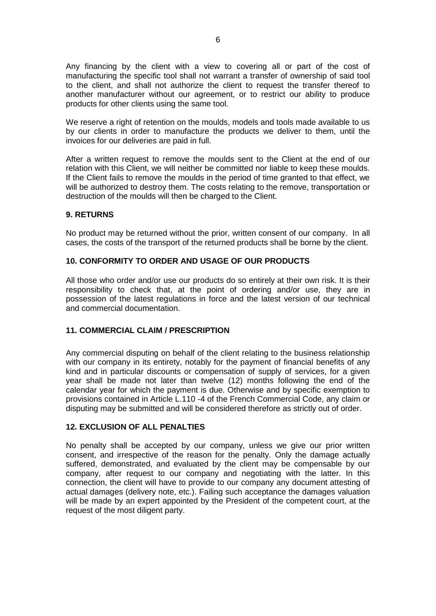Any financing by the client with a view to covering all or part of the cost of manufacturing the specific tool shall not warrant a transfer of ownership of said tool to the client, and shall not authorize the client to request the transfer thereof to another manufacturer without our agreement, or to restrict our ability to produce products for other clients using the same tool.

We reserve a right of retention on the moulds, models and tools made available to us by our clients in order to manufacture the products we deliver to them, until the invoices for our deliveries are paid in full.

After a written request to remove the moulds sent to the Client at the end of our relation with this Client, we will neither be committed nor liable to keep these moulds. If the Client fails to remove the moulds in the period of time granted to that effect, we will be authorized to destroy them. The costs relating to the remove, transportation or destruction of the moulds will then be charged to the Client.

## **9. RETURNS**

No product may be returned without the prior, written consent of our company. In all cases, the costs of the transport of the returned products shall be borne by the client.

### **10. CONFORMITY TO ORDER AND USAGE OF OUR PRODUCTS**

All those who order and/or use our products do so entirely at their own risk. It is their responsibility to check that, at the point of ordering and/or use, they are in possession of the latest regulations in force and the latest version of our technical and commercial documentation.

## **11. COMMERCIAL CLAIM / PRESCRIPTION**

Any commercial disputing on behalf of the client relating to the business relationship with our company in its entirety, notably for the payment of financial benefits of any kind and in particular discounts or compensation of supply of services, for a given year shall be made not later than twelve (12) months following the end of the calendar year for which the payment is due. Otherwise and by specific exemption to provisions contained in Article L.110 -4 of the French Commercial Code, any claim or disputing may be submitted and will be considered therefore as strictly out of order.

#### **12. EXCLUSION OF ALL PENALTIES**

No penalty shall be accepted by our company, unless we give our prior written consent, and irrespective of the reason for the penalty. Only the damage actually suffered, demonstrated, and evaluated by the client may be compensable by our company, after request to our company and negotiating with the latter. In this connection, the client will have to provide to our company any document attesting of actual damages (delivery note, etc.). Failing such acceptance the damages valuation will be made by an expert appointed by the President of the competent court, at the request of the most diligent party.